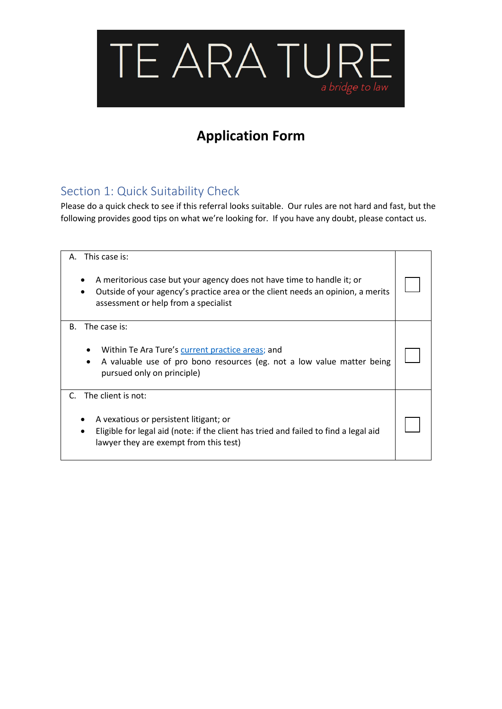

# **Application Form**

# Section 1: Quick Suitability Check

Please do a quick check to see if this referral looks suitable. Our rules are not hard and fast, but the following provides good tips on what we're looking for. If you have any doubt, please contact us.

| This case is:<br>А.<br>A meritorious case but your agency does not have time to handle it; or<br>٠<br>Outside of your agency's practice area or the client needs an opinion, a merits<br>$\bullet$<br>assessment or help from a specialist |  |
|--------------------------------------------------------------------------------------------------------------------------------------------------------------------------------------------------------------------------------------------|--|
| The case is:<br><b>B.</b>                                                                                                                                                                                                                  |  |
| Within Te Ara Ture's current practice areas; and<br>A valuable use of pro bono resources (eg. not a low value matter being<br>$\bullet$<br>pursued only on principle)                                                                      |  |
| The client is not:<br>C.                                                                                                                                                                                                                   |  |
| A vexatious or persistent litigant; or<br>٠<br>Eligible for legal aid (note: if the client has tried and failed to find a legal aid<br>$\bullet$<br>lawyer they are exempt from this test)                                                 |  |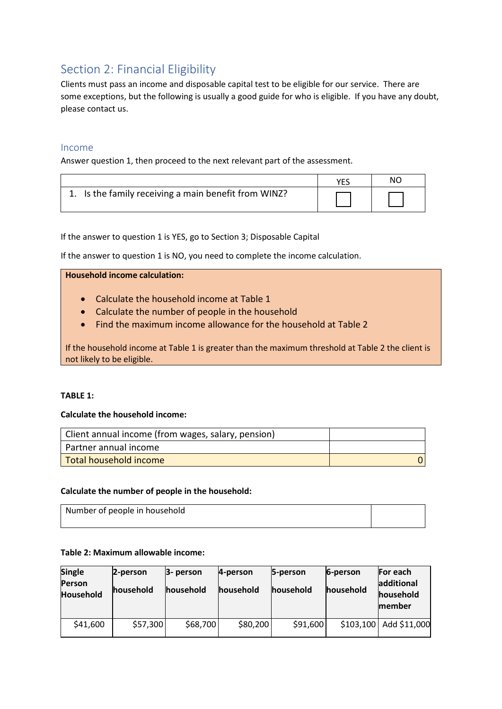# Section 2: Financial Eligibility

Clients must pass an income and disposable capital test to be eligible for our service. There are some exceptions, but the following is usually a good guide for who is eligible. If you have any doubt, please contact us.

## Income

Answer question 1, then proceed to the next relevant part of the assessment.

|                                                      | NO. |
|------------------------------------------------------|-----|
| 1. Is the family receiving a main benefit from WINZ? |     |

If the answer to question 1 is YES, go to Section 3; Disposable Capital

If the answer to question 1 is NO, you need to complete the income calculation.

**Household income calculation:**

- Calculate the household income at Table 1
- Calculate the number of people in the household
- Find the maximum income allowance for the household at Table 2

If the household income at Table 1 is greater than the maximum threshold at Table 2 the client is not likely to be eligible.

#### **TABLE 1:**

## **Calculate the household income:**

| Client annual income (from wages, salary, pension) |  |
|----------------------------------------------------|--|
| Partner annual income                              |  |
| Total household income                             |  |

## **Calculate the number of people in the household:**

| Number of people in household |  |
|-------------------------------|--|
|                               |  |

## **Table 2: Maximum allowable income:**

| <b>Single</b><br><b>Person</b><br><b>Household</b> | 2-person<br>household | 3- person<br>household | 4-person<br><b>household</b> | 5-person<br>household | 6-person<br>household | <b>For each</b><br>ladditional<br>household<br><b>Imember</b> |
|----------------------------------------------------|-----------------------|------------------------|------------------------------|-----------------------|-----------------------|---------------------------------------------------------------|
| \$41,600                                           | \$57,300              | \$68,700               | \$80,200                     | \$91,600              | \$103,100             | Add \$11,000                                                  |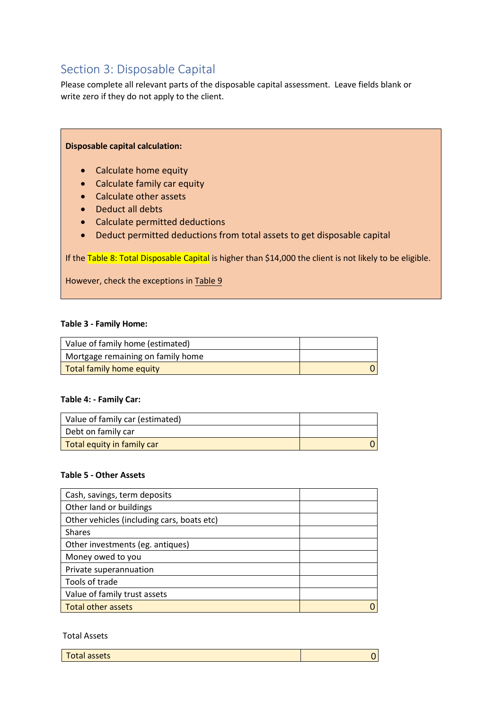# Section 3: Disposable Capital

Please complete all relevant parts of the disposable capital assessment. Leave fields blank or write zero if they do not apply to the client.

## **Disposable capital calculation:**

- Calculate home equity
- Calculate family car equity
- Calculate other assets
- Deduct all debts
- Calculate permitted deductions
- Deduct permitted deductions from total assets to get disposable capital

If the Table 8: Total Disposable Capital is higher than \$14,000 the client is not likely to be eligible.

However, check the exceptions in Table 9

#### **Table 3 - Family Home:**

| Value of family home (estimated)  |  |
|-----------------------------------|--|
| Mortgage remaining on family home |  |
| Total family home equity          |  |

#### **Table 4: - Family Car:**

| Value of family car (estimated) |  |
|---------------------------------|--|
| Debt on family car              |  |
| Total equity in family car      |  |

#### **Table 5 - Other Assets**

| Cash, savings, term deposits               |  |
|--------------------------------------------|--|
| Other land or buildings                    |  |
| Other vehicles (including cars, boats etc) |  |
| <b>Shares</b>                              |  |
| Other investments (eg. antiques)           |  |
| Money owed to you                          |  |
| Private superannuation                     |  |
| Tools of trade                             |  |
| Value of family trust assets               |  |
| <b>Total other assets</b>                  |  |

#### Total Assets

| Total assets |  |
|--------------|--|
|              |  |

0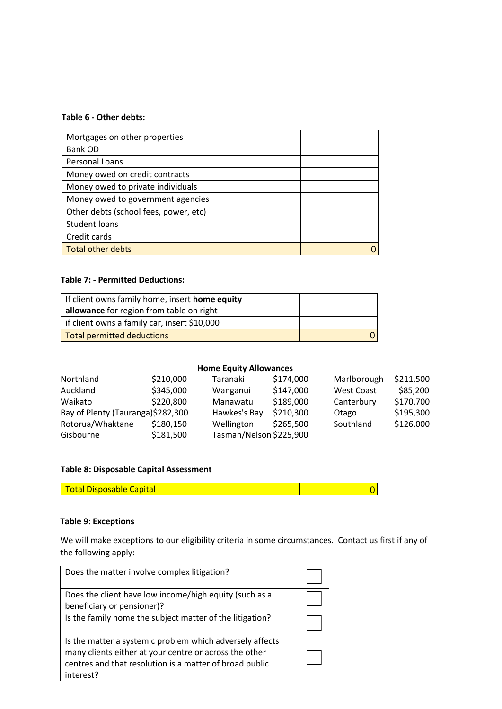### **Table 6 - Other debts:**

| Mortgages on other properties         |  |
|---------------------------------------|--|
| Bank OD                               |  |
| Personal Loans                        |  |
| Money owed on credit contracts        |  |
| Money owed to private individuals     |  |
| Money owed to government agencies     |  |
| Other debts (school fees, power, etc) |  |
| Student loans                         |  |
| Credit cards                          |  |
| <b>Total other debts</b>              |  |
|                                       |  |

#### **Table 7: - Permitted Deductions:**

| If client owns family home, insert <b>home equity</b> |  |
|-------------------------------------------------------|--|
| allowance for region from table on right              |  |
| f if client owns a family car, insert \$10,000        |  |
| Total permitted deductions                            |  |

## **Home Equity Allowances**

| Northland                         | \$210,000 | Taranaki                | \$174,000 | Marlborough       | \$211,500 |
|-----------------------------------|-----------|-------------------------|-----------|-------------------|-----------|
| Auckland                          | \$345,000 | Wanganui                | \$147,000 | <b>West Coast</b> | \$85,200  |
| Waikato                           | \$220,800 | Manawatu                | \$189,000 | Canterbury        | \$170,700 |
| Bay of Plenty (Tauranga)\$282,300 |           | Hawkes's Bay            | \$210,300 | Otago             | \$195,300 |
| Rotorua/Whaktane                  | \$180,150 | Wellington              | \$265,500 | Southland         | \$126,000 |
| Gisbourne                         | \$181,500 | Tasman/Nelson \$225,900 |           |                   |           |

## **Table 8: Disposable Capital Assessment**

| <b>Total Disposable Capital</b> |  |
|---------------------------------|--|

## **Table 9: Exceptions**

We will make exceptions to our eligibility criteria in some circumstances. Contact us first if any of the following apply:

| Does the matter involve complex litigation?                                                                                                                                                |  |
|--------------------------------------------------------------------------------------------------------------------------------------------------------------------------------------------|--|
| Does the client have low income/high equity (such as a<br>beneficiary or pensioner)?                                                                                                       |  |
| Is the family home the subject matter of the litigation?                                                                                                                                   |  |
| Is the matter a systemic problem which adversely affects<br>many clients either at your centre or across the other<br>centres and that resolution is a matter of broad public<br>interest? |  |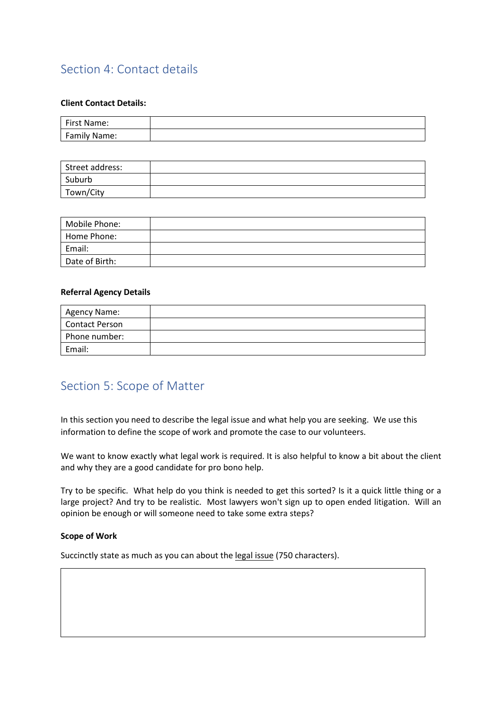# Section 4: Contact details

## **Client Contact Details:**

| First Name:         |  |
|---------------------|--|
| <b>Family Name:</b> |  |

| Street address: |  |
|-----------------|--|
| Suburb          |  |
| Town/City       |  |

| Mobile Phone:  |  |
|----------------|--|
| Home Phone:    |  |
| Email:         |  |
| Date of Birth: |  |

### **Referral Agency Details**

| Agency Name:   |  |
|----------------|--|
| Contact Person |  |
| Phone number:  |  |
| Email:         |  |

# Section 5: Scope of Matter

In this section you need to describe the legal issue and what help you are seeking. We use this information to define the scope of work and promote the case to our volunteers.

We want to know exactly what legal work is required. It is also helpful to know a bit about the client and why they are a good candidate for pro bono help.

Try to be specific. What help do you think is needed to get this sorted? Is it a quick little thing or a large project? And try to be realistic. Most lawyers won't sign up to open ended litigation. Will an opinion be enough or will someone need to take some extra steps?

#### **Scope of Work**

Succinctly state as much as you can about the legal issue (750 characters).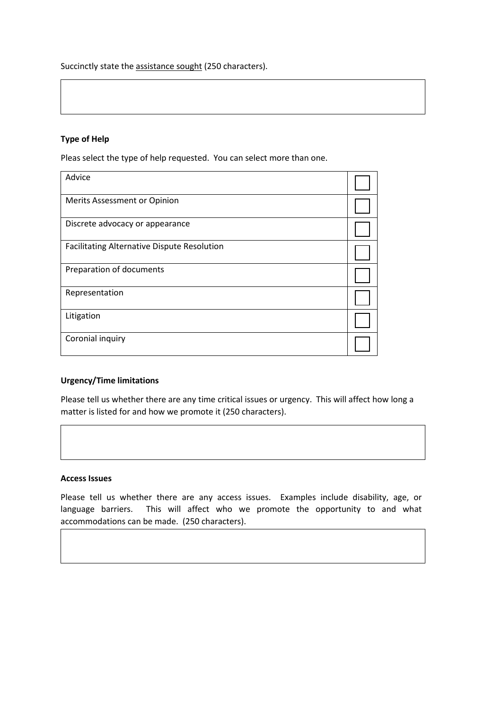Succinctly state the assistance sought (250 characters).

## **Type of Help**

Pleas select the type of help requested. You can select more than one.

| Advice                                      |  |
|---------------------------------------------|--|
| Merits Assessment or Opinion                |  |
| Discrete advocacy or appearance             |  |
| Facilitating Alternative Dispute Resolution |  |
| Preparation of documents                    |  |
| Representation                              |  |
| Litigation                                  |  |
| Coronial inquiry                            |  |

## **Urgency/Time limitations**

Please tell us whether there are any time critical issues or urgency. This will affect how long a matter is listed for and how we promote it (250 characters).

#### **Access Issues**

Please tell us whether there are any access issues. Examples include disability, age, or language barriers. This will affect who we promote the opportunity to and what accommodations can be made. (250 characters).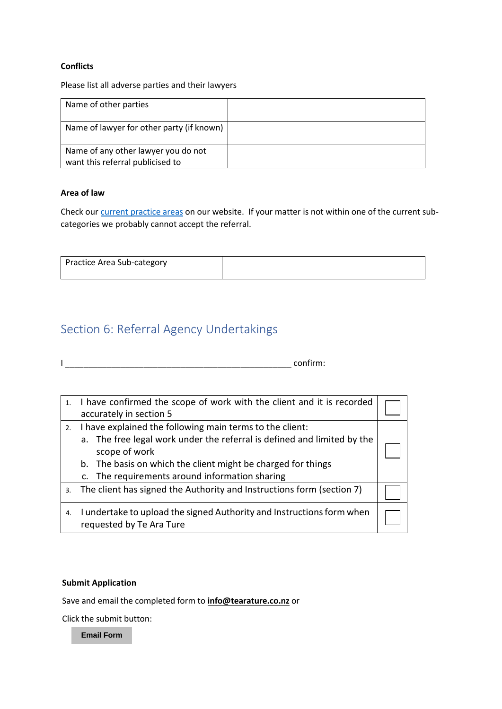#### **Conflicts**

Please list all adverse parties and their lawyers

| Name of other parties                                                   |  |
|-------------------------------------------------------------------------|--|
| Name of lawyer for other party (if known)                               |  |
| Name of any other lawyer you do not<br>want this referral publicised to |  |

## **Area of law**

Check our [current practice areas](https://www.tearature.co.nz/current-practice-areas) on our website. If your matter is not within one of the current subcategories we probably cannot accept the referral.

| Practice Area Sub-category |  |
|----------------------------|--|
|                            |  |

# Section 6: Referral Agency Undertakings

I \_\_\_\_\_\_\_\_\_\_\_\_\_\_\_\_\_\_\_\_\_\_\_\_\_\_\_\_\_\_\_\_\_\_\_\_\_\_\_\_\_\_\_\_\_\_\_\_\_ confirm:

| 1. | I have confirmed the scope of work with the client and it is recorded<br>accurately in section 5                                                                                                                                                                       |  |
|----|------------------------------------------------------------------------------------------------------------------------------------------------------------------------------------------------------------------------------------------------------------------------|--|
| 2. | I have explained the following main terms to the client:<br>a. The free legal work under the referral is defined and limited by the<br>scope of work<br>b. The basis on which the client might be charged for things<br>c. The requirements around information sharing |  |
| 3. | The client has signed the Authority and Instructions form (section 7)                                                                                                                                                                                                  |  |
| 4. | I undertake to upload the signed Authority and Instructions form when<br>requested by Te Ara Ture                                                                                                                                                                      |  |

#### **Submit Application**

Save and email the completed form to **info@tearature.co.nz** or

Click the submit button:

**Email Form**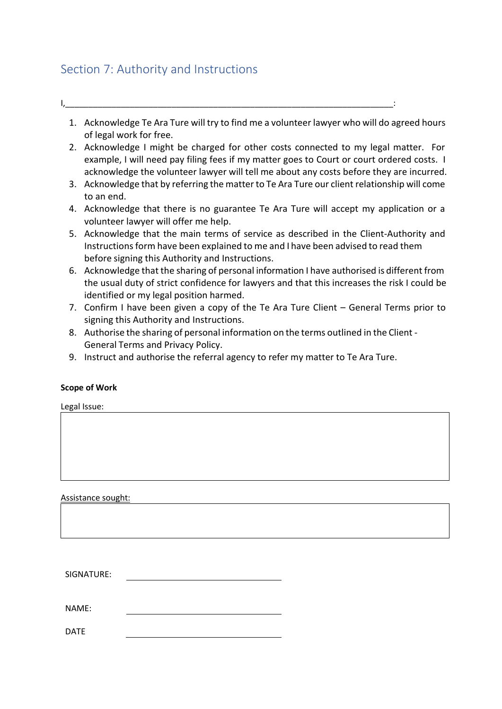# Section 7: Authority and Instructions

- I,\_\_\_\_\_\_\_\_\_\_\_\_\_\_\_\_\_\_\_\_\_\_\_\_\_\_\_\_\_\_\_\_\_\_\_\_\_\_\_\_\_\_\_\_\_\_\_\_\_\_\_\_\_\_\_\_\_\_\_\_\_\_\_\_\_\_\_\_\_\_\_:
	- 1. Acknowledge Te Ara Ture will try to find me a volunteer lawyer who will do agreed hours of legal work for free.
	- 2. Acknowledge I might be charged for other costs connected to my legal matter. For example, I will need pay filing fees if my matter goes to Court or court ordered costs. I acknowledge the volunteer lawyer will tell me about any costs before they are incurred.
	- 3. Acknowledge that by referring the matter to Te Ara Ture our client relationship will come to an end.
	- 4. Acknowledge that there is no guarantee Te Ara Ture will accept my application or a volunteer lawyer will offer me help.
	- 5. Acknowledge that the main terms of service as described in the Client-Authority and Instructions form have been explained to me and I have been advised to read them before signing this Authority and Instructions.
	- 6. Acknowledge that the sharing of personal information I have authorised is different from the usual duty of strict confidence for lawyers and that this increases the risk I could be identified or my legal position harmed.
	- 7. Confirm I have been given a copy of the Te Ara Ture Client General Terms prior to signing this Authority and Instructions.
	- 8. Authorise the sharing of personal information on the terms outlined in the Client General Terms and Privacy Policy.
	- 9. Instruct and authorise the referral agency to refer my matter to Te Ara Ture.

## **Scope of Work**

Legal Issue:

Assistance sought:

SIGNATURE:

NAME:

DATE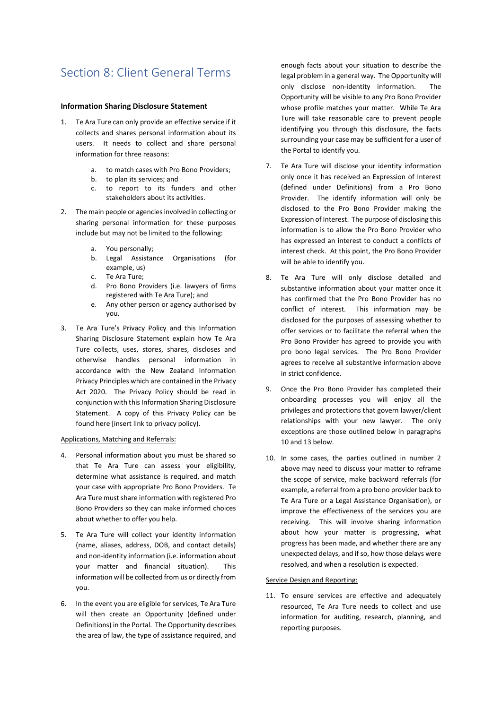# Section 8: Client General Terms

#### **Information Sharing Disclosure Statement**

- 1. Te Ara Ture can only provide an effective service if it collects and shares personal information about its users. It needs to collect and share personal information for three reasons:
	- a. to match cases with Pro Bono Providers;
	- b. to plan its services; and
	- c. to report to its funders and other stakeholders about its activities.
- 2. The main people or agencies involved in collecting or sharing personal information for these purposes include but may not be limited to the following:
	- a. You personally;
	- b. Legal Assistance Organisations (for example, us)
	- c. Te Ara Ture;
	- d. Pro Bono Providers (i.e. lawyers of firms registered with Te Ara Ture); and
	- e. Any other person or agency authorised by you.
- 3. Te Ara Ture's Privacy Policy and this Information Sharing Disclosure Statement explain how Te Ara Ture collects, uses, stores, shares, discloses and otherwise handles personal information in accordance with the New Zealand Information Privacy Principles which are contained in the Privacy Act 2020. The Privacy Policy should be read in conjunction with this Information Sharing Disclosure Statement. A copy of this Privacy Policy can be found here [insert link to privacy policy).

#### Applications, Matching and Referrals:

- 4. Personal information about you must be shared so that Te Ara Ture can assess your eligibility, determine what assistance is required, and match your case with appropriate Pro Bono Providers. Te Ara Ture must share information with registered Pro Bono Providers so they can make informed choices about whether to offer you help.
- 5. Te Ara Ture will collect your identity information (name, aliases, address, DOB, and contact details) and non-identity information (i.e. information about your matter and financial situation). This information will be collected from us or directly from you.
- 6. In the event you are eligible for services, Te Ara Ture will then create an Opportunity (defined under Definitions) in the Portal. The Opportunity describes the area of law, the type of assistance required, and

enough facts about your situation to describe the legal problem in a general way. The Opportunity will only disclose non-identity information. The Opportunity will be visible to any Pro Bono Provider whose profile matches your matter. While Te Ara Ture will take reasonable care to prevent people identifying you through this disclosure, the facts surrounding your case may be sufficient for a user of the Portal to identify you.

- 7. Te Ara Ture will disclose your identity information only once it has received an Expression of Interest (defined under Definitions) from a Pro Bono Provider. The identify information will only be disclosed to the Pro Bono Provider making the Expression of Interest. The purpose of disclosing this information is to allow the Pro Bono Provider who has expressed an interest to conduct a conflicts of interest check. At this point, the Pro Bono Provider will be able to identify you.
- 8. Te Ara Ture will only disclose detailed and substantive information about your matter once it has confirmed that the Pro Bono Provider has no conflict of interest. This information may be disclosed for the purposes of assessing whether to offer services or to facilitate the referral when the Pro Bono Provider has agreed to provide you with pro bono legal services. The Pro Bono Provider agrees to receive all substantive information above in strict confidence.
- 9. Once the Pro Bono Provider has completed their onboarding processes you will enjoy all the privileges and protections that govern lawyer/client relationships with your new lawyer. The only exceptions are those outlined below in paragraphs 10 and 13 below.
- 10. In some cases, the parties outlined in number 2 above may need to discuss your matter to reframe the scope of service, make backward referrals (for example, a referral from a pro bono provider back to Te Ara Ture or a Legal Assistance Organisation), or improve the effectiveness of the services you are receiving. This will involve sharing information about how your matter is progressing, what progress has been made, and whether there are any unexpected delays, and if so, how those delays were resolved, and when a resolution is expected.

#### Service Design and Reporting:

11. To ensure services are effective and adequately resourced, Te Ara Ture needs to collect and use information for auditing, research, planning, and reporting purposes.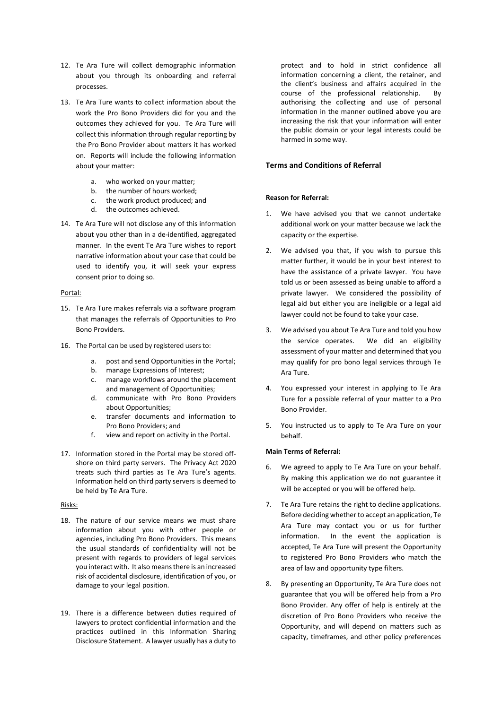- 12. Te Ara Ture will collect demographic information about you through its onboarding and referral processes.
- 13. Te Ara Ture wants to collect information about the work the Pro Bono Providers did for you and the outcomes they achieved for you. Te Ara Ture will collect this information through regular reporting by the Pro Bono Provider about matters it has worked on. Reports will include the following information about your matter:
	- a. who worked on your matter;
	- b. the number of hours worked;
	- c. the work product produced; and
	- d. the outcomes achieved.
- 14. Te Ara Ture will not disclose any of this information about you other than in a de-identified, aggregated manner. In the event Te Ara Ture wishes to report narrative information about your case that could be used to identify you, it will seek your express consent prior to doing so.

#### Portal:

- 15. Te Ara Ture makes referrals via a software program that manages the referrals of Opportunities to Pro Bono Providers.
- 16. The Portal can be used by registered users to:
	- a. post and send Opportunities in the Portal;
	- b. manage Expressions of Interest;
	- c. manage workflows around the placement and management of Opportunities;
	- d. communicate with Pro Bono Providers about Opportunities;
	- e. transfer documents and information to Pro Bono Providers; and
	- f. view and report on activity in the Portal.
- 17. Information stored in the Portal may be stored offshore on third party servers. The Privacy Act 2020 treats such third parties as Te Ara Ture's agents. Information held on third party servers is deemed to be held by Te Ara Ture.

#### Risks:

- 18. The nature of our service means we must share information about you with other people or agencies, including Pro Bono Providers. This means the usual standards of confidentiality will not be present with regards to providers of legal services you interact with. It also means there is an increased risk of accidental disclosure, identification of you, or damage to your legal position.
- 19. There is a difference between duties required of lawyers to protect confidential information and the practices outlined in this Information Sharing Disclosure Statement. A lawyer usually has a duty to

protect and to hold in strict confidence all information concerning a client, the retainer, and the client's business and affairs acquired in the course of the professional relationship. By authorising the collecting and use of personal information in the manner outlined above you are increasing the risk that your information will enter the public domain or your legal interests could be harmed in some way.

#### **Terms and Conditions of Referral**

#### **Reason for Referral:**

- 1. We have advised you that we cannot undertake additional work on your matter because we lack the capacity or the expertise.
- 2. We advised you that, if you wish to pursue this matter further, it would be in your best interest to have the assistance of a private lawyer. You have told us or been assessed as being unable to afford a private lawyer. We considered the possibility of legal aid but either you are ineligible or a legal aid lawyer could not be found to take your case.
- 3. We advised you about Te Ara Ture and told you how the service operates. We did an eligibility assessment of your matter and determined that you may qualify for pro bono legal services through Te Ara Ture.
- 4. You expressed your interest in applying to Te Ara Ture for a possible referral of your matter to a Pro Bono Provider.
- 5. You instructed us to apply to Te Ara Ture on your behalf.

#### **Main Terms of Referral:**

- 6. We agreed to apply to Te Ara Ture on your behalf. By making this application we do not guarantee it will be accepted or you will be offered help.
- 7. Te Ara Ture retains the right to decline applications. Before deciding whether to accept an application, Te Ara Ture may contact you or us for further information. In the event the application is accepted, Te Ara Ture will present the Opportunity to registered Pro Bono Providers who match the area of law and opportunity type filters.
- 8. By presenting an Opportunity, Te Ara Ture does not guarantee that you will be offered help from a Pro Bono Provider. Any offer of help is entirely at the discretion of Pro Bono Providers who receive the Opportunity, and will depend on matters such as capacity, timeframes, and other policy preferences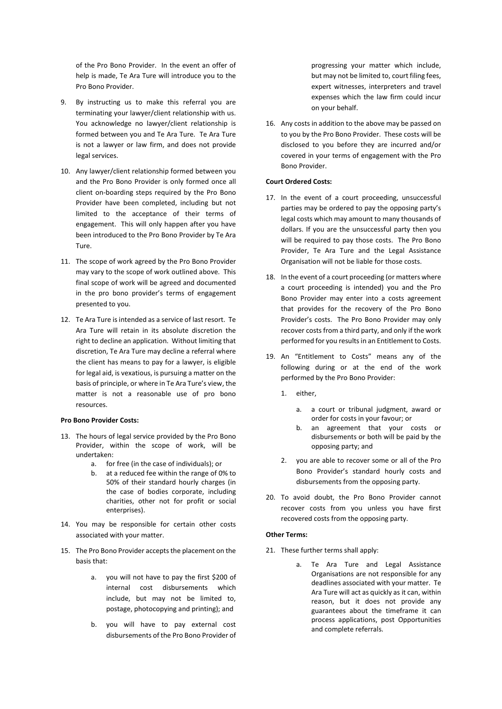of the Pro Bono Provider. In the event an offer of help is made, Te Ara Ture will introduce you to the Pro Bono Provider.

- 9. By instructing us to make this referral you are terminating your lawyer/client relationship with us. You acknowledge no lawyer/client relationship is formed between you and Te Ara Ture. Te Ara Ture is not a lawyer or law firm, and does not provide legal services.
- 10. Any lawyer/client relationship formed between you and the Pro Bono Provider is only formed once all client on-boarding steps required by the Pro Bono Provider have been completed, including but not limited to the acceptance of their terms of engagement. This will only happen after you have been introduced to the Pro Bono Provider by Te Ara Ture.
- 11. The scope of work agreed by the Pro Bono Provider may vary to the scope of work outlined above. This final scope of work will be agreed and documented in the pro bono provider's terms of engagement presented to you.
- 12. Te Ara Ture is intended as a service of last resort. Te Ara Ture will retain in its absolute discretion the right to decline an application. Without limiting that discretion, Te Ara Ture may decline a referral where the client has means to pay for a lawyer, is eligible for legal aid, is vexatious, is pursuing a matter on the basis of principle, or where in Te Ara Ture's view, the matter is not a reasonable use of pro bono resources.

#### **Pro Bono Provider Costs:**

- 13. The hours of legal service provided by the Pro Bono Provider, within the scope of work, will be undertaken:
	- a. for free (in the case of individuals); or
	- b. at a reduced fee within the range of 0% to 50% of their standard hourly charges (in the case of bodies corporate, including charities, other not for profit or social enterprises).
- 14. You may be responsible for certain other costs associated with your matter.
- 15. The Pro Bono Provider accepts the placement on the basis that:
	- a. you will not have to pay the first \$200 of internal cost disbursements which include, but may not be limited to, postage, photocopying and printing); and
	- b. you will have to pay external cost disbursements of the Pro Bono Provider of

progressing your matter which include, but may not be limited to, court filing fees, expert witnesses, interpreters and travel expenses which the law firm could incur on your behalf.

16. Any costs in addition to the above may be passed on to you by the Pro Bono Provider. These costs will be disclosed to you before they are incurred and/or covered in your terms of engagement with the Pro Bono Provider.

#### **Court Ordered Costs:**

- 17. In the event of a court proceeding, unsuccessful parties may be ordered to pay the opposing party's legal costs which may amount to many thousands of dollars. If you are the unsuccessful party then you will be required to pay those costs. The Pro Bono Provider, Te Ara Ture and the Legal Assistance Organisation will not be liable for those costs.
- 18. In the event of a court proceeding (or matters where a court proceeding is intended) you and the Pro Bono Provider may enter into a costs agreement that provides for the recovery of the Pro Bono Provider's costs. The Pro Bono Provider may only recover costs from a third party, and only if the work performed for you results in an Entitlement to Costs.
- 19. An "Entitlement to Costs" means any of the following during or at the end of the work performed by the Pro Bono Provider:
	- 1. either,
		- a. a court or tribunal judgment, award or order for costs in your favour; or
		- b. an agreement that your costs or disbursements or both will be paid by the opposing party; and
	- 2. you are able to recover some or all of the Pro Bono Provider's standard hourly costs and disbursements from the opposing party.
- 20. To avoid doubt, the Pro Bono Provider cannot recover costs from you unless you have first recovered costs from the opposing party.

#### **Other Terms:**

- 21. These further terms shall apply:
	- a. Te Ara Ture and Legal Assistance Organisations are not responsible for any deadlines associated with your matter. Te Ara Ture will act as quickly as it can, within reason, but it does not provide any guarantees about the timeframe it can process applications, post Opportunities and complete referrals.